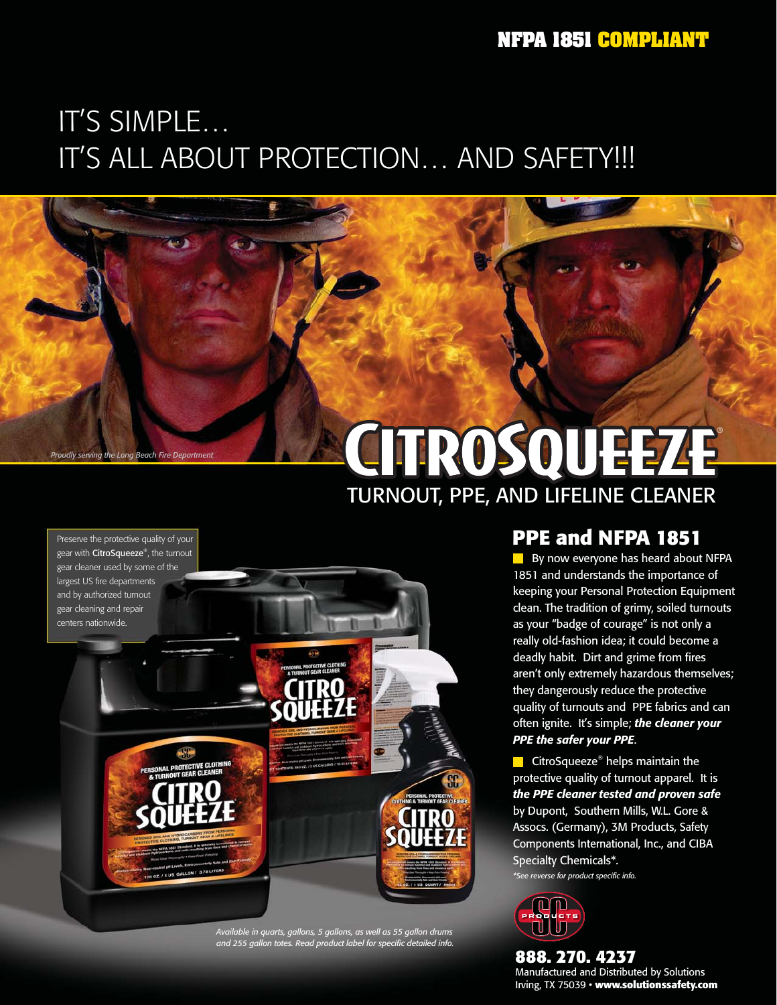### IT'S SIMPLE… IT'S ALL ABOUT PROTECTION… AND SAFETY!!!

# TURNOUT, PPE, AND LIFELINE CLEANER CITROSOUEEZE

Preserve the protective quality of your gear with CitroSqueeze®, the turnout gear cleaner used by some of the largest US fire departments and by authorized turnout gear cleaning and repair

**Proudly serving the Long Beach Fire De** 



*Available in quarts, gallons, 5 gallons, as well as 55 gallon drums and 255 gallon totes. Read product label for specific detailed info.*

#### **PPE and NFPA 1851**

By now everyone has heard about NFPA 1851 and understands the importance of keeping your Personal Protection Equipment clean. The tradition of grimy, soiled turnouts as your "badge of courage" is not only a really old-fashion idea; it could become a deadly habit. Dirt and grime from fires aren't only extremely hazardous themselves; they dangerously reduce the protective quality of turnouts and PPE fabrics and can often ignite. It's simple; *the cleaner your PPE the safer your PPE*.

CitroSqueeze<sup>®</sup> helps maintain the protective quality of turnout apparel. It is *the PPE cleaner tested and proven safe* by Dupont, Southern Mills, W.L. Gore & Assocs. (Germany), 3M Products, Safety Components International, Inc., and CIBA Specialty Chemicals\*. *\*See reverse for product specific info.*



**888. 270. 4237** Manufactured and Distributed by Solutions Irving, TX 75039 · www.solutionssafety.com